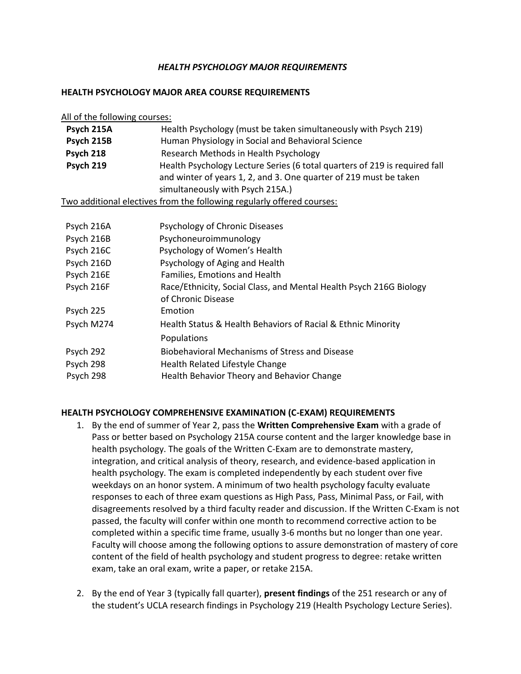## *HEALTH PSYCHOLOGY MAJOR REQUIREMENTS*

## **HEALTH PSYCHOLOGY MAJOR AREA COURSE REQUIREMENTS**

| All of the following courses: |                                                                                                                                                                                     |
|-------------------------------|-------------------------------------------------------------------------------------------------------------------------------------------------------------------------------------|
| Psych 215A                    | Health Psychology (must be taken simultaneously with Psych 219)                                                                                                                     |
| Psych 215B                    | Human Physiology in Social and Behavioral Science                                                                                                                                   |
| Psych 218                     | Research Methods in Health Psychology                                                                                                                                               |
| Psych 219                     | Health Psychology Lecture Series (6 total quarters of 219 is required fall<br>and winter of years 1, 2, and 3. One quarter of 219 must be taken<br>simultaneously with Psych 215A.) |
|                               | Two additional electives from the following regularly offered courses:                                                                                                              |
| Psych 216A                    | Psychology of Chronic Diseases                                                                                                                                                      |
| Psych 216B                    | Psychoneuroimmunology                                                                                                                                                               |
|                               |                                                                                                                                                                                     |
| Psych 216C                    | Psychology of Women's Health                                                                                                                                                        |
| Psych 216D                    | Psychology of Aging and Health                                                                                                                                                      |
| Psych 216E                    | Families, Emotions and Health                                                                                                                                                       |
| Psych 216F                    | Race/Ethnicity, Social Class, and Mental Health Psych 216G Biology<br>of Chronic Disease                                                                                            |
| Psych 225                     | Emotion                                                                                                                                                                             |
| Psych M274                    | Health Status & Health Behaviors of Racial & Ethnic Minority                                                                                                                        |
|                               | Populations                                                                                                                                                                         |
| Psych 292                     | <b>Biobehavioral Mechanisms of Stress and Disease</b>                                                                                                                               |
| Psych 298                     | Health Related Lifestyle Change                                                                                                                                                     |
| Psych 298                     | Health Behavior Theory and Behavior Change                                                                                                                                          |

## **HEALTH PSYCHOLOGY COMPREHENSIVE EXAMINATION (C-EXAM) REQUIREMENTS**

- 1. By the end of summer of Year 2, pass the **Written Comprehensive Exam** with a grade of Pass or better based on Psychology 215A course content and the larger knowledge base in health psychology. The goals of the Written C-Exam are to demonstrate mastery, integration, and critical analysis of theory, research, and evidence-based application in health psychology. The exam is completed independently by each student over five weekdays on an honor system. A minimum of two health psychology faculty evaluate responses to each of three exam questions as High Pass, Pass, Minimal Pass, or Fail, with disagreements resolved by a third faculty reader and discussion. If the Written C-Exam is not passed, the faculty will confer within one month to recommend corrective action to be completed within a specific time frame, usually 3-6 months but no longer than one year. Faculty will choose among the following options to assure demonstration of mastery of core content of the field of health psychology and student progress to degree: retake written exam, take an oral exam, write a paper, or retake 215A.
- 2. By the end of Year 3 (typically fall quarter), **present findings** of the 251 research or any of the student's UCLA research findings in Psychology 219 (Health Psychology Lecture Series).